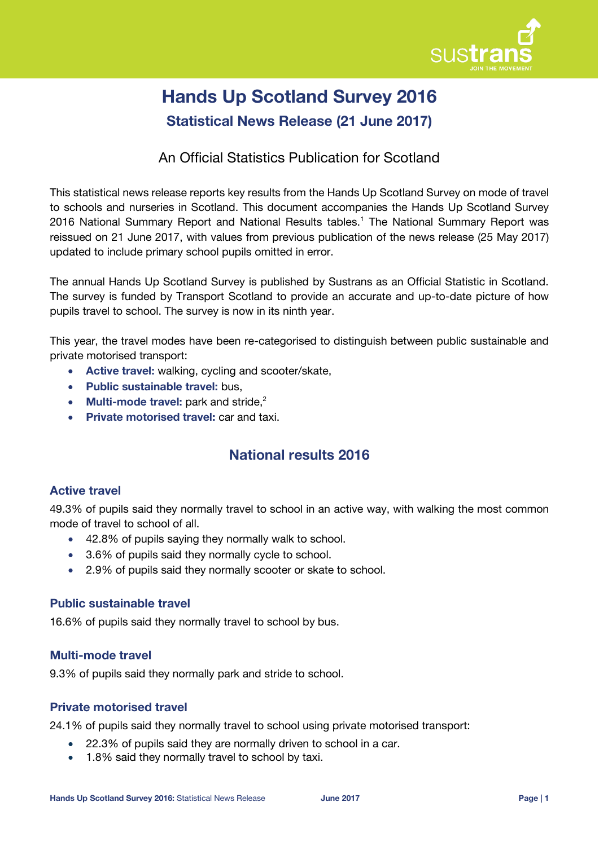

# **Hands Up Scotland Survey 2016 Statistical News Release (21 June 2017)**

## An Official Statistics Publication for Scotland

This statistical news release reports key results from the Hands Up Scotland Survey on mode of travel to schools and nurseries in Scotland. This document accompanies the Hands Up Scotland Survey 2016 National Summary Report and National Results tables.<sup>1</sup> The National Summary Report was reissued on 21 June 2017, with values from previous publication of the news release (25 May 2017) updated to include primary school pupils omitted in error.

The annual Hands Up Scotland Survey is published by Sustrans as an Official Statistic in Scotland. The survey is funded by Transport Scotland to provide an accurate and up-to-date picture of how pupils travel to school. The survey is now in its ninth year.

This year, the travel modes have been re-categorised to distinguish between public sustainable and private motorised transport:

- **Active travel:** walking, cycling and scooter/skate,
- **Public sustainable travel:** bus,
- **Multi-mode travel:** park and stride, 2
- **Private motorised travel:** car and taxi.

## **National results 2016**

## **Active travel**

49.3% of pupils said they normally travel to school in an active way, with walking the most common mode of travel to school of all.

- 42.8% of pupils saying they normally walk to school.
- 3.6% of pupils said they normally cycle to school.
- 2.9% of pupils said they normally scooter or skate to school.

## **Public sustainable travel**

16.6% of pupils said they normally travel to school by bus.

#### **Multi-mode travel**

9.3% of pupils said they normally park and stride to school.

#### **Private motorised travel**

24.1% of pupils said they normally travel to school using private motorised transport:

- 22.3% of pupils said they are normally driven to school in a car.
- 1.8% said they normally travel to school by taxi.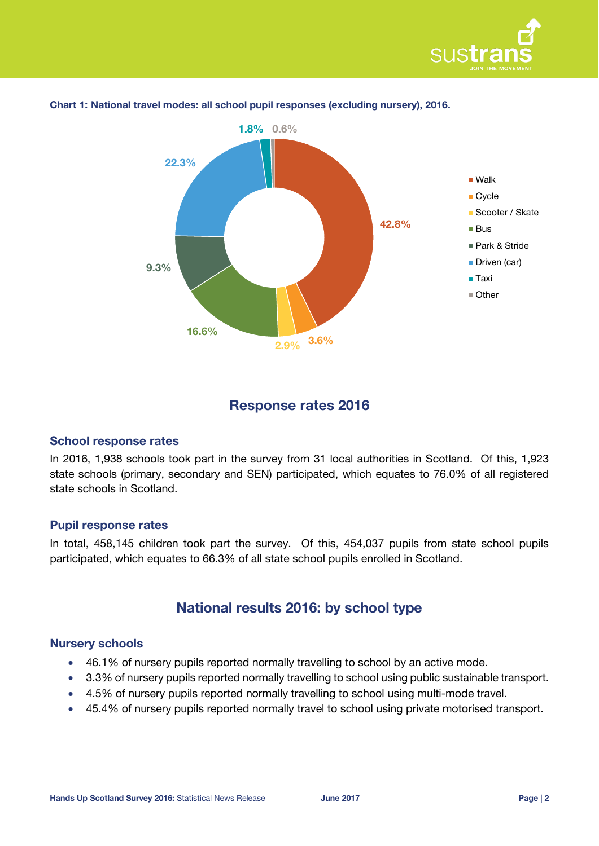



#### **Chart 1: National travel modes: all school pupil responses (excluding nursery), 2016.**

## **Response rates 2016**

#### **School response rates**

In 2016, 1,938 schools took part in the survey from 31 local authorities in Scotland. Of this, 1,923 state schools (primary, secondary and SEN) participated, which equates to 76.0% of all registered state schools in Scotland.

#### **Pupil response rates**

In total, 458,145 children took part the survey. Of this, 454,037 pupils from state school pupils participated, which equates to 66.3% of all state school pupils enrolled in Scotland.

## **National results 2016: by school type**

#### **Nursery schools**

- 46.1% of nursery pupils reported normally travelling to school by an active mode.
- 3.3% of nursery pupils reported normally travelling to school using public sustainable transport.
- 4.5% of nursery pupils reported normally travelling to school using multi-mode travel.
- 45.4% of nursery pupils reported normally travel to school using private motorised transport.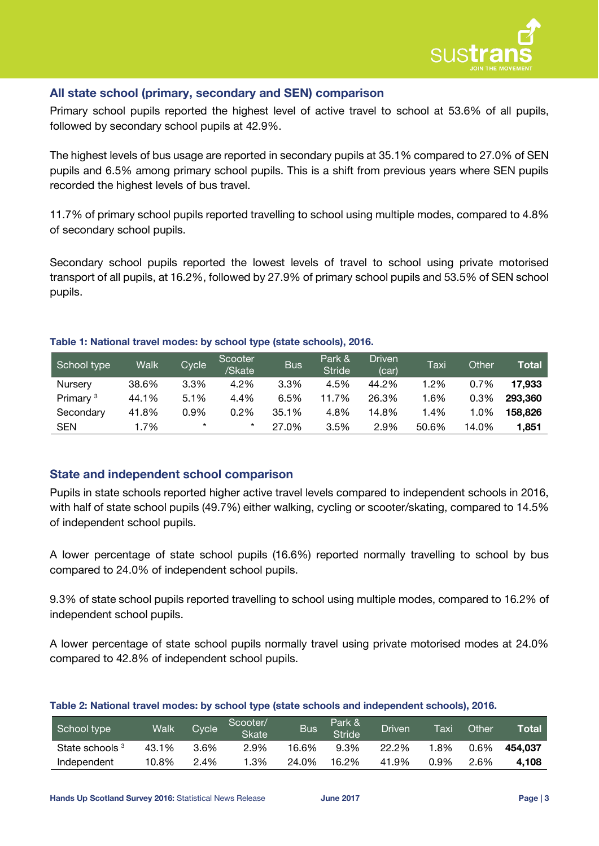

#### **All state school (primary, secondary and SEN) comparison**

Primary school pupils reported the highest level of active travel to school at 53.6% of all pupils, followed by secondary school pupils at 42.9%.

The highest levels of bus usage are reported in secondary pupils at 35.1% compared to 27.0% of SEN pupils and 6.5% among primary school pupils. This is a shift from previous years where SEN pupils recorded the highest levels of bus travel.

11.7% of primary school pupils reported travelling to school using multiple modes, compared to 4.8% of secondary school pupils.

Secondary school pupils reported the lowest levels of travel to school using private motorised transport of all pupils, at 16.2%, followed by 27.9% of primary school pupils and 53.5% of SEN school pupils.

<span id="page-2-0"></span>

| School type          | Walk  | Cycle   | Scooter<br>/Skate | <b>Bus</b> | Park &<br><b>Stride</b> | <b>Driven</b><br>(car) | Taxi  | <b>Other</b> | Total   |
|----------------------|-------|---------|-------------------|------------|-------------------------|------------------------|-------|--------------|---------|
| Nursery              | 38.6% | 3.3%    | 4.2%              | 3.3%       | 4.5%                    | 44.2%                  | 1.2%  | 0.7%         | 17,933  |
| Primary <sup>3</sup> | 44.1% | 5.1%    | 4.4%              | 6.5%       | 11.7%                   | 26.3%                  | 1.6%  | 0.3%         | 293,360 |
| Secondary            | 41.8% | 0.9%    | 0.2%              | 35.1%      | 4.8%                    | 14.8%                  | 1.4%  | 1.0%         | 158,826 |
| <b>SEN</b>           | 1.7%  | $\star$ | $\star$           | 27.0%      | 3.5%                    | 2.9%                   | 50.6% | 14.0%        | 1.851   |

#### **Table 1: National travel modes: by school type (state schools), 2016.**

#### **State and independent school comparison**

Pupils in state schools reported higher active travel levels compared to independent schools in 2016, with half of state school pupils (49.7%) either walking, cycling or scooter/skating, compared to 14.5% of independent school pupils.

A lower percentage of state school pupils (16.6%) reported normally travelling to school by bus compared to 24.0% of independent school pupils.

9.3% of state school pupils reported travelling to school using multiple modes, compared to 16.2% of independent school pupils.

A lower percentage of state school pupils normally travel using private motorised modes at 24.0% compared to 42.8% of independent school pupils.

| Table 2: National travel modes: by school type (state schools and independent schools), 2016. |  |  |
|-----------------------------------------------------------------------------------------------|--|--|

| School type     | <b>Walk</b> | <b>Cycle</b> | Scooter/<br><b>Skate</b> | <b>Bus</b> | Park &<br><b>Stride</b> | <b>Driven</b> | Taxi | Other | <b>Total</b> |
|-----------------|-------------|--------------|--------------------------|------------|-------------------------|---------------|------|-------|--------------|
| State schools 3 | 43.1%       | 3.6%         | 2.9%                     | 16.6%      | 9.3%                    | 22.2%         | 1.8% | 0.6%  | 454.037      |
| Independent     | 10.8%       | 2.4%         | .3%                      | 24.0%      | 16.2%                   | 41.9%         | 0.9% | 2.6%  | 4.108        |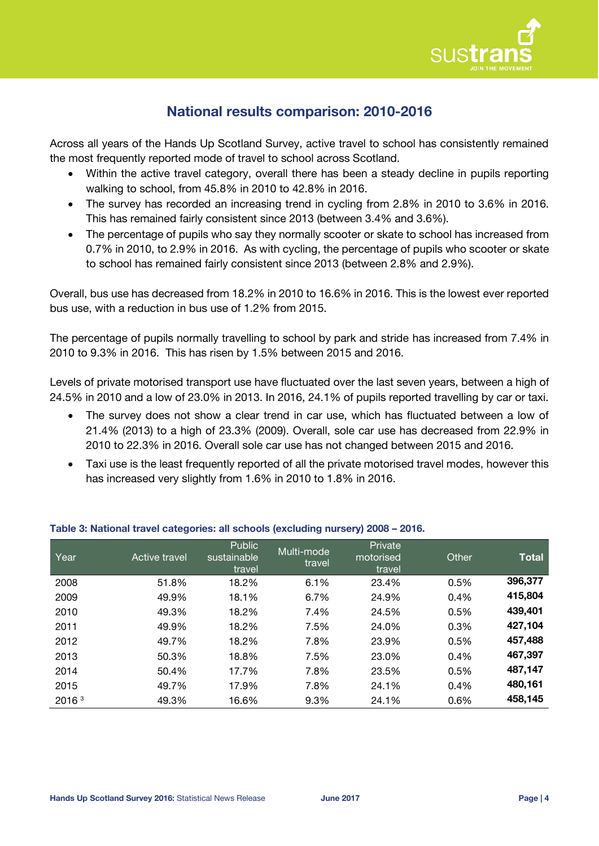

## **National results comparison: 2010-2016**

Across all years of the Hands Up Scotland Survey, active travel to school has consistently remained the most frequently reported mode of travel to school across Scotland.

- Within the active travel category, overall there has been a steady decline in pupils reporting walking to school, from 45.8% in 2010 to 42.8% in 2016.
- The survey has recorded an increasing trend in cycling from 2.8% in 2010 to 3.6% in 2016. This has remained fairly consistent since 2013 (between 3.4% and 3.6%).
- The percentage of pupils who say they normally scooter or skate to school has increased from 0.7% in 2010, to 2.9% in 2016. As with cycling, the percentage of pupils who scooter or skate to school has remained fairly consistent since 2013 (between 2.8% and 2.9%).

Overall, bus use has decreased from 18.2% in 2010 to 16.6% in 2016. This is the lowest ever reported bus use, with a reduction in bus use of 1.2% from 2015.

The percentage of pupils normally travelling to school by park and stride has increased from 7.4% in 2010 to 9.3% in 2016. This has risen by 1.5% between 2015 and 2016.

Levels of private motorised transport use have fluctuated over the last seven years, between a high of 24.5% in 2010 and a low of 23.0% in 2013. In 2016, 24.1% of pupils reported travelling by car or taxi.

- The survey does not show a clear trend in car use, which has fluctuated between a low of 21.4% (2013) to a high of 23.3% (2009). Overall, sole car use has decreased from 22.9% in 2010 to 22.3% in 2016. Overall sole car use has not changed between 2015 and 2016.
- Taxi use is the least frequently reported of all the private motorised travel modes, however this has increased very slightly from 1.6% in 2010 to 1.8% in 2016.

| Year              | Active travel | Public<br>sustainable<br>travel | Multi-mode<br>travel | Private<br>motorised<br>travel | Other | <b>Total</b> |
|-------------------|---------------|---------------------------------|----------------------|--------------------------------|-------|--------------|
| 2008              | 51.8%         | 18.2%                           | 6.1%                 | 23.4%                          | 0.5%  | 396,377      |
| 2009              | 49.9%         | 18.1%                           | 6.7%                 | 24.9%                          | 0.4%  | 415,804      |
| 2010              | 49.3%         | 18.2%                           | 7.4%                 | 24.5%                          | 0.5%  | 439,401      |
| 2011              | 49.9%         | 18.2%                           | 7.5%                 | 24.0%                          | 0.3%  | 427,104      |
| 2012              | 49.7%         | 18.2%                           | 7.8%                 | 23.9%                          | 0.5%  | 457,488      |
| 2013              | 50.3%         | 18.8%                           | 7.5%                 | 23.0%                          | 0.4%  | 467,397      |
| 2014              | 50.4%         | 17.7%                           | 7.8%                 | 23.5%                          | 0.5%  | 487,147      |
| 2015              | 49.7%         | 17.9%                           | 7.8%                 | 24.1%                          | 0.4%  | 480,161      |
| 2016 <sup>3</sup> | 49.3%         | 16.6%                           | 9.3%                 | 24.1%                          | 0.6%  | 458,145      |

#### **Table 3: National travel categories: all schools (excluding nursery) 2008 – 2016.**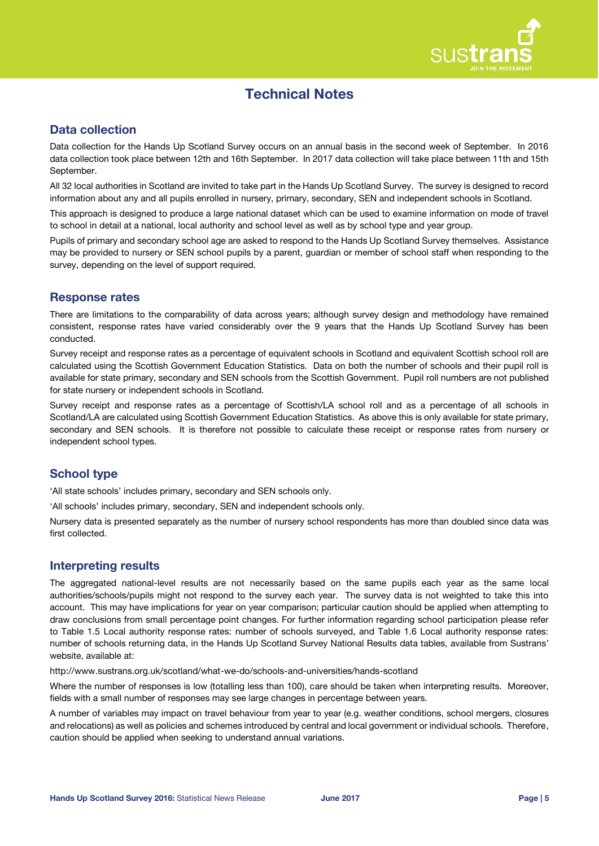

## **Technical Notes**

## **Data collection**

Data collection for the Hands Up Scotland Survey occurs on an annual basis in the second week of September. In 2016 data collection took place between 12th and 16th September. In 2017 data collection will take place between 11th and 15th September.

All 32 local authorities in Scotland are invited to take part in the Hands Up Scotland Survey. The survey is designed to record information about any and all pupils enrolled in nursery, primary, secondary, SEN and independent schools in Scotland.

This approach is designed to produce a large national dataset which can be used to examine information on mode of travel to school in detail at a national, local authority and school level as well as by school type and year group.

Pupils of primary and secondary school age are asked to respond to the Hands Up Scotland Survey themselves. Assistance may be provided to nursery or SEN school pupils by a parent, guardian or member of school staff when responding to the survey, depending on the level of support required.

#### **Response rates**

There are limitations to the comparability of data across years; although survey design and methodology have remained consistent, response rates have varied considerably over the 9 years that the Hands Up Scotland Survey has been conducted.

Survey receipt and response rates as a percentage of equivalent schools in Scotland and equivalent Scottish school roll are calculated using the Scottish Government Education Statistics. Data on both the number of schools and their pupil roll is available for state primary, secondary and SEN schools from the Scottish Government. Pupil roll numbers are not published for state nursery or independent schools in Scotland.

Survey receipt and response rates as a percentage of Scottish/LA school roll and as a percentage of all schools in Scotland/LA are calculated using Scottish Government Education Statistics. As above this is only available for state primary, secondary and SEN schools. It is therefore not possible to calculate these receipt or response rates from nursery or independent school types.

## **School type**

'All state schools' includes primary, secondary and SEN schools only.

'All schools' includes primary, secondary, SEN and independent schools only.

Nursery data is presented separately as the number of nursery school respondents has more than doubled since data was first collected.

## **Interpreting results**

The aggregated national-level results are not necessarily based on the same pupils each year as the same local authorities/schools/pupils might not respond to the survey each year. The survey data is not weighted to take this into account. This may have implications for year on year comparison; particular caution should be applied when attempting to draw conclusions from small percentage point changes. For further information regarding school participation please refer to Table 1.5 Local authority response rates: number of schools surveyed, and Table 1.6 Local authority response rates: number of schools returning data, in the Hands Up Scotland Survey National Results data tables, available from Sustrans' website, available at:

http://www.sustrans.org.uk/scotland/what-we-do/schools-and-universities/hands-scotland

Where the number of responses is low (totalling less than 100), care should be taken when interpreting results. Moreover, fields with a small number of responses may see large changes in percentage between years.

A number of variables may impact on travel behaviour from year to year (e.g. weather conditions, school mergers, closures and relocations) as well as policies and schemes introduced by central and local government or individual schools. Therefore, caution should be applied when seeking to understand annual variations.